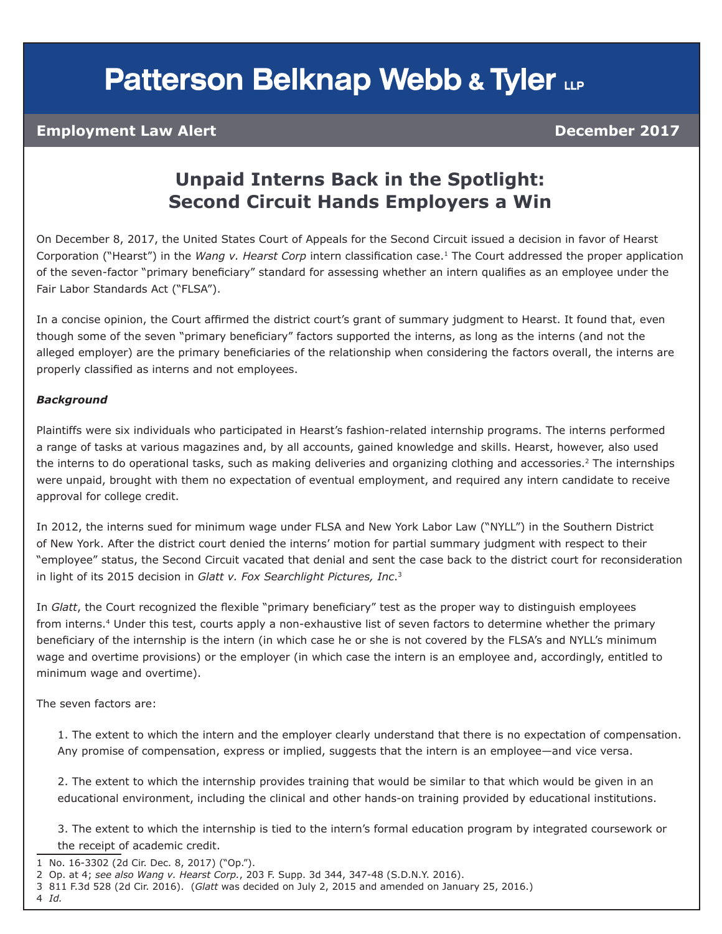# **Patterson Belknap Webb & Tyler LLP**

### **Employment Law Alert December 2017**

### **Unpaid Interns Back in the Spotlight: Second Circuit Hands Employers a Win**

On December 8, 2017, the United States Court of Appeals for the Second Circuit issued a decision in favor of Hearst Corporation ("Hearst") in the *Wang v. Hearst Corp* intern classification case.1 The Court addressed the proper application of the seven-factor "primary beneficiary" standard for assessing whether an intern qualifies as an employee under the Fair Labor Standards Act ("FLSA").

In a concise opinion, the Court affirmed the district court's grant of summary judgment to Hearst. It found that, even though some of the seven "primary beneficiary" factors supported the interns, as long as the interns (and not the alleged employer) are the primary beneficiaries of the relationship when considering the factors overall, the interns are properly classified as interns and not employees.

#### *Background*

Plaintiffs were six individuals who participated in Hearst's fashion-related internship programs. The interns performed a range of tasks at various magazines and, by all accounts, gained knowledge and skills. Hearst, however, also used the interns to do operational tasks, such as making deliveries and organizing clothing and accessories.<sup>2</sup> The internships were unpaid, brought with them no expectation of eventual employment, and required any intern candidate to receive approval for college credit.

In 2012, the interns sued for minimum wage under FLSA and New York Labor Law ("NYLL") in the Southern District of New York. After the district court denied the interns' motion for partial summary judgment with respect to their "employee" status, the Second Circuit vacated that denial and sent the case back to the district court for reconsideration in light of its 2015 decision in *Glatt v. Fox Searchlight Pictures, Inc*.<sup>3</sup>

In *Glatt*, the Court recognized the flexible "primary beneficiary" test as the proper way to distinguish employees from interns.<sup>4</sup> Under this test, courts apply a non-exhaustive list of seven factors to determine whether the primary beneficiary of the internship is the intern (in which case he or she is not covered by the FLSA's and NYLL's minimum wage and overtime provisions) or the employer (in which case the intern is an employee and, accordingly, entitled to minimum wage and overtime).

The seven factors are:

1. The extent to which the intern and the employer clearly understand that there is no expectation of compensation. Any promise of compensation, express or implied, suggests that the intern is an employee—and vice versa.

2. The extent to which the internship provides training that would be similar to that which would be given in an educational environment, including the clinical and other hands-on training provided by educational institutions.

3. The extent to which the internship is tied to the intern's formal education program by integrated coursework or the receipt of academic credit.

- 1 No. 16-3302 (2d Cir. Dec. 8, 2017) ("Op.").
- 2 Op. at 4; *see also Wang v. Hearst Corp.*, 203 F. Supp. 3d 344, 347-48 (S.D.N.Y. 2016).
- 3 811 F.3d 528 (2d Cir. 2016). (*Glatt* was decided on July 2, 2015 and amended on January 25, 2016.)
- 4 *Id.*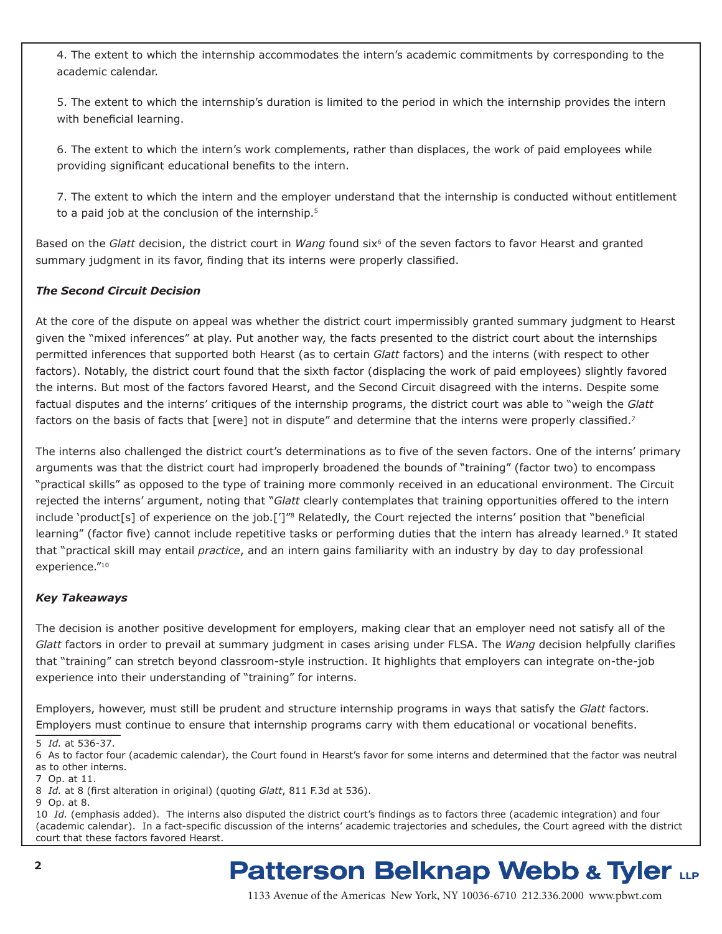4. The extent to which the internship accommodates the intern's academic commitments by corresponding to the academic calendar.

5. The extent to which the internship's duration is limited to the period in which the internship provides the intern with beneficial learning.

6. The extent to which the intern's work complements, rather than displaces, the work of paid employees while providing significant educational benefits to the intern.

7. The extent to which the intern and the employer understand that the internship is conducted without entitlement to a paid job at the conclusion of the internship.<sup>5</sup>

Based on the *Glatt* decision, the district court in *Wang* found six<sup>6</sup> of the seven factors to favor Hearst and granted summary judgment in its favor, finding that its interns were properly classified.

#### *The Second Circuit Decision*

At the core of the dispute on appeal was whether the district court impermissibly granted summary judgment to Hearst given the "mixed inferences" at play. Put another way, the facts presented to the district court about the internships permitted inferences that supported both Hearst (as to certain *Glatt* factors) and the interns (with respect to other factors). Notably, the district court found that the sixth factor (displacing the work of paid employees) slightly favored the interns. But most of the factors favored Hearst, and the Second Circuit disagreed with the interns. Despite some factual disputes and the interns' critiques of the internship programs, the district court was able to "weigh the *Glatt* factors on the basis of facts that [were] not in dispute" and determine that the interns were properly classified.<sup>7</sup>

The interns also challenged the district court's determinations as to five of the seven factors. One of the interns' primary arguments was that the district court had improperly broadened the bounds of "training" (factor two) to encompass "practical skills" as opposed to the type of training more commonly received in an educational environment. The Circuit rejected the interns' argument, noting that "*Glatt* clearly contemplates that training opportunities offered to the intern include 'product[s] of experience on the job.[']<sup>"8</sup> Relatedly, the Court rejected the interns' position that "beneficial learning" (factor five) cannot include repetitive tasks or performing duties that the intern has already learned.<sup>9</sup> It stated that "practical skill may entail *practice*, and an intern gains familiarity with an industry by day to day professional experience."<sup>10</sup>

#### *Key Takeaways*

The decision is another positive development for employers, making clear that an employer need not satisfy all of the *Glatt* factors in order to prevail at summary judgment in cases arising under FLSA. The *Wang* decision helpfully clarifies that "training" can stretch beyond classroom-style instruction. It highlights that employers can integrate on-the-job experience into their understanding of "training" for interns.

Employers, however, must still be prudent and structure internship programs in ways that satisfy the *Glatt* factors. Employers must continue to ensure that internship programs carry with them educational or vocational benefits.

5 *Id.* at 536-37.

6 As to factor four (academic calendar), the Court found in Hearst's favor for some interns and determined that the factor was neutral as to other interns.

10 *Id.* (emphasis added). The interns also disputed the district court's findings as to factors three (academic integration) and four (academic calendar). In a fact-specific discussion of the interns' academic trajectories and schedules, the Court agreed with the district court that these factors favored Hearst.

## **Patterson Belknap Webb & Tyler LLP**

1133 Avenue of the Americas New York, NY 10036-6710 212.336.2000 <www.pbwt.com>

<sup>7</sup> Op. at 11.

<sup>8</sup> *Id.* at 8 (first alteration in original) (quoting *Glatt*, 811 F.3d at 536).

<sup>9</sup> Op. at 8.